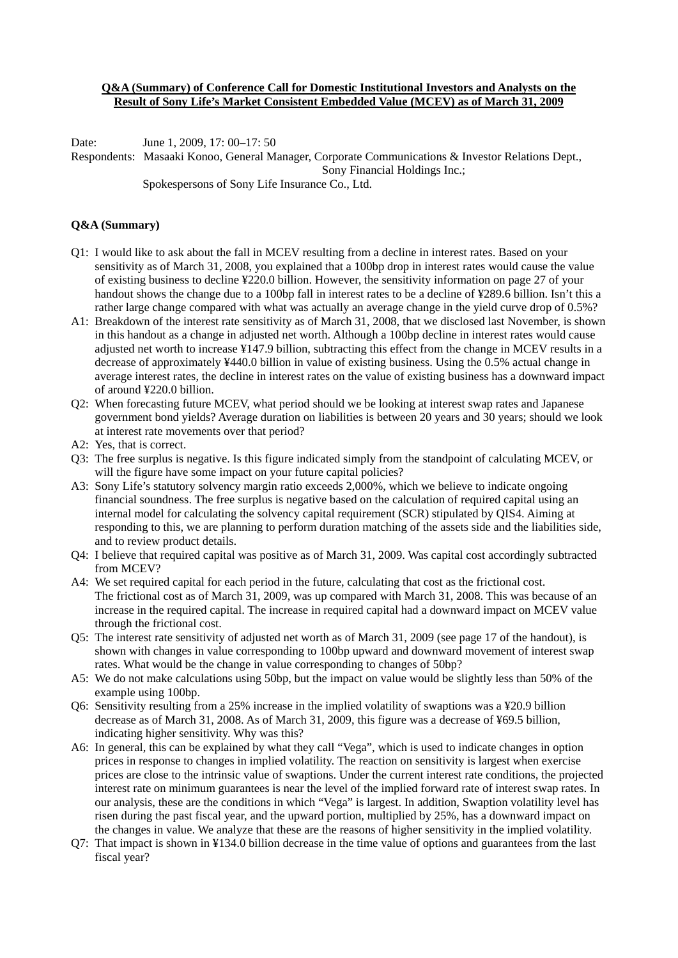## **Q&A (Summary) of Conference Call for Domestic Institutional Investors and Analysts on the Result of Sony Life's Market Consistent Embedded Value (MCEV) as of March 31, 2009**

Date: June 1, 2009, 17: 00–17: 50

Respondents: Masaaki Konoo, General Manager, Corporate Communications & Investor Relations Dept., Sony Financial Holdings Inc.; Spokespersons of Sony Life Insurance Co., Ltd.

## **Q&A (Summary)**

- Q1: I would like to ask about the fall in MCEV resulting from a decline in interest rates. Based on your sensitivity as of March 31, 2008, you explained that a 100bp drop in interest rates would cause the value of existing business to decline ¥220.0 billion. However, the sensitivity information on page 27 of your handout shows the change due to a 100bp fall in interest rates to be a decline of ¥289.6 billion. Isn't this a rather large change compared with what was actually an average change in the yield curve drop of 0.5%?
- A1: Breakdown of the interest rate sensitivity as of March 31, 2008, that we disclosed last November, is shown in this handout as a change in adjusted net worth. Although a 100bp decline in interest rates would cause adjusted net worth to increase ¥147.9 billion, subtracting this effect from the change in MCEV results in a decrease of approximately ¥440.0 billion in value of existing business. Using the 0.5% actual change in average interest rates, the decline in interest rates on the value of existing business has a downward impact of around ¥220.0 billion.
- Q2: When forecasting future MCEV, what period should we be looking at interest swap rates and Japanese government bond yields? Average duration on liabilities is between 20 years and 30 years; should we look at interest rate movements over that period?
- A2: Yes, that is correct.
- Q3: The free surplus is negative. Is this figure indicated simply from the standpoint of calculating MCEV, or will the figure have some impact on your future capital policies?
- A3: Sony Life's statutory solvency margin ratio exceeds 2,000%, which we believe to indicate ongoing financial soundness. The free surplus is negative based on the calculation of required capital using an internal model for calculating the solvency capital requirement (SCR) stipulated by QIS4. Aiming at responding to this, we are planning to perform duration matching of the assets side and the liabilities side, and to review product details.
- Q4: I believe that required capital was positive as of March 31, 2009. Was capital cost accordingly subtracted from MCEV?
- A4: We set required capital for each period in the future, calculating that cost as the frictional cost. The frictional cost as of March 31, 2009, was up compared with March 31, 2008. This was because of an increase in the required capital. The increase in required capital had a downward impact on MCEV value through the frictional cost.
- Q5: The interest rate sensitivity of adjusted net worth as of March 31, 2009 (see page 17 of the handout), is shown with changes in value corresponding to 100bp upward and downward movement of interest swap rates. What would be the change in value corresponding to changes of 50bp?
- A5: We do not make calculations using 50bp, but the impact on value would be slightly less than 50% of the example using 100bp.
- Q6: Sensitivity resulting from a 25% increase in the implied volatility of swaptions was a ¥20.9 billion decrease as of March 31, 2008. As of March 31, 2009, this figure was a decrease of ¥69.5 billion, indicating higher sensitivity. Why was this?
- A6: In general, this can be explained by what they call "Vega", which is used to indicate changes in option prices in response to changes in implied volatility. The reaction on sensitivity is largest when exercise prices are close to the intrinsic value of swaptions. Under the current interest rate conditions, the projected interest rate on minimum guarantees is near the level of the implied forward rate of interest swap rates. In our analysis, these are the conditions in which "Vega" is largest. In addition, Swaption volatility level has risen during the past fiscal year, and the upward portion, multiplied by 25%, has a downward impact on the changes in value. We analyze that these are the reasons of higher sensitivity in the implied volatility.
- Q7: That impact is shown in ¥134.0 billion decrease in the time value of options and guarantees from the last fiscal year?